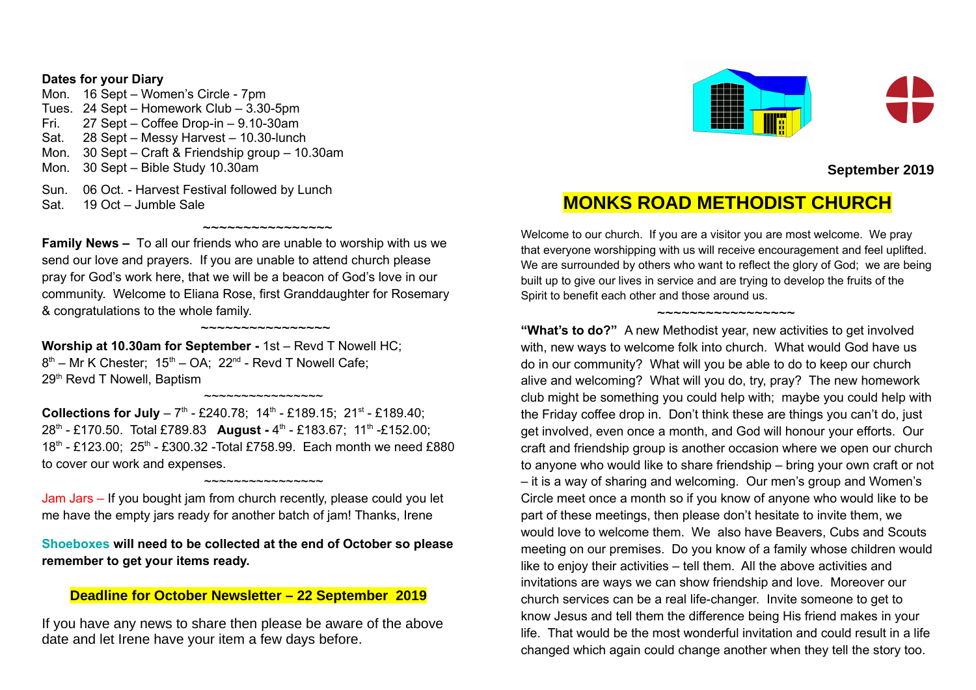### **Dates for your Diary**

Mon. 16 Sept – Women's Circle - 7pm Tues. 24 Sept – Homework Club – 3.30-5pm Fri. 27 Sept – Coffee Drop-in – 9.10-30am Sat. 28 Sept – Messy Harvest – 10.30-lunch Mon. 30 Sept – Craft & Friendship group – 10.30am Mon. 30 Sept – Bible Study 10.30am Sun. 06 Oct. - Harvest Festival followed by Lunch

Sat. 19 Oct – Jumble Sale

**Family News –** To all our friends who are unable to worship with us we send our love and prayers. If you are unable to attend church please pray for God's work here, that we will be a beacon of God's love in our community. Welcome to Eliana Rose, first Granddaughter for Rosemary & congratulations to the whole family.

~~~~~~~~~~~~~~~~

~~~~~~~~~~~~~~~~

**Worship at 10.30am for September -** 1st – Revd T Nowell HC;  $8<sup>th</sup>$  – Mr K Chester; 15<sup>th</sup> – OA; 22<sup>nd</sup> - Revd T Nowell Cafe; 29<sup>th</sup> Revd T Nowell, Baptism

**Collections for July** - 7<sup>th</sup> - £240.78; 14<sup>th</sup> - £189.15; 21<sup>st</sup> - £189.40; 28<sup>th</sup> - £170.50. Total £789.83 **August -** 4<sup>th</sup> - £183.67; 11<sup>th</sup> -£152.00; 18<sup>th</sup> - £123.00; 25<sup>th</sup> - £300.32 -Total £758.99. Each month we need £880 to cover our work and expenses.

~~~~~~~~~~~~~~~~

Jam Jars – If you bought jam from church recently, please could you let me have the empty jars ready for another batch of jam! Thanks, Irene

~~~~~~~~~~~~~~~~

**Shoeboxes will need to be collected at the end of October so please remember to get your items ready.**

## **Deadline for October Newsletter – 22 September 2019**

If you have any news to share then please be aware of the above date and let Irene have your item a few days before.



**September 2019**

# **MONKS ROAD METHODIST CHURCH**

Welcome to our church. If you are a visitor you are most welcome. We pray that everyone worshipping with us will receive encouragement and feel uplifted. We are surrounded by others who want to reflect the glory of God; we are being built up to give our lives in service and are trying to develop the fruits of the Spirit to benefit each other and those around us.

#### ~~~~~~~~~~~~~~~~~

**"What's to do?"** A new Methodist year, new activities to get involved with, new ways to welcome folk into church. What would God have us do in our community? What will you be able to do to keep our church alive and welcoming? What will you do, try, pray? The new homework club might be something you could help with; maybe you could help with the Friday coffee drop in. Don't think these are things you can't do, just get involved, even once a month, and God will honour your efforts. Our craft and friendship group is another occasion where we open our church to anyone who would like to share friendship – bring your own craft or not – it is a way of sharing and welcoming. Our men's group and Women's Circle meet once a month so if you know of anyone who would like to be part of these meetings, then please don't hesitate to invite them, we would love to welcome them. We also have Beavers, Cubs and Scouts meeting on our premises. Do you know of a family whose children would like to enjoy their activities – tell them. All the above activities and invitations are ways we can show friendship and love. Moreover our church services can be a real life-changer. Invite someone to get to know Jesus and tell them the difference being His friend makes in your life. That would be the most wonderful invitation and could result in a life changed which again could change another when they tell the story too.